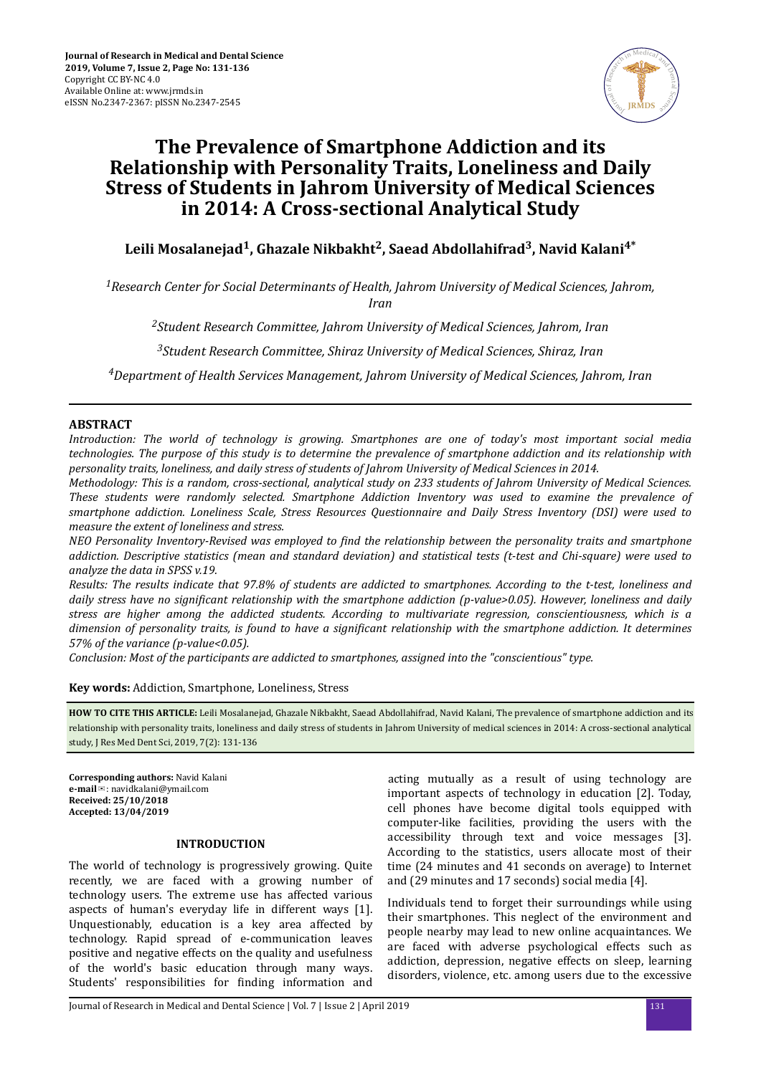

# **The Prevalence of Smartphone Addiction and its Relationship with Personality Traits, Loneliness and Daily Stress of Students in Jahrom University of Medical Sciences in 2014: A Cross-sectional Analytical Study**

## **Leili Mosalanejad<sup>1</sup> , Ghazale Nikbakht<sup>2</sup> , Saead Abdollahifrad<sup>3</sup> , Navid Kalani4\***

*<sup>1</sup>Research Center for Social Determinants of Health, Jahrom University of Medical Sciences, Jahrom, Iran*

*<sup>2</sup>Student Research Committee, Jahrom University of Medical Sciences, Jahrom, Iran*

*<sup>3</sup>Student Research Committee, Shiraz University of Medical Sciences, Shiraz, Iran*

*<sup>4</sup>Department of Health Services Management, Jahrom University of Medical Sciences, Jahrom, Iran*

## **ABSTRACT**

*Introduction: The world of technology is growing. Smartphones are one of today's most important social media technologies. The purpose of this study is to determine the prevalence of smartphone addiction and its relationship with personality traits, loneliness, and daily stress of students of Jahrom University of Medical Sciences in 2014.*

*Methodology: This is a random, cross-sectional, analytical study on 233 students of Jahrom University of Medical Sciences. These students were randomly selected. Smartphone Addiction Inventory was used to examine the prevalence of smartphone addiction. Loneliness Scale, Stress Resources Questionnaire and Daily Stress Inventory (DSI) were used to measure the extent of loneliness and stress.*

*NEO Personality Inventory-Revised was employed to find the relationship between the personality traits and smartphone addiction. Descriptive statistics (mean and standard deviation) and statistical tests (t-test and Chi-square) were used to analyze the data in SPSS v.19.*

*Results: The results indicate that 97.8% of students are addicted to smartphones. According to the t-test, loneliness and daily stress have no sϔct relationship with the smartphone addiction (p-value>0.05). However, loneliness and daily stress are higher among the addicted students. According to multivariate regression, conscientiousness, which is a dimension of personality traits, is found to have a significant relationship with the smartphone addiction. It determines 57% of the variance (p-value<0.05).*

*Conclusion: Most of the participants are addicted to smartphones, assigned into the "conscientious" type.*

**Key words:** Addiction, Smartphone, Loneliness, Stress

**HOW TO CITE THIS ARTICLE:** Leili Mosalanejad, Ghazale Nikbakht, Saead Abdollahifrad, Navid Kalani, The prevalence of smartphone addiction and its relationship with personality traits, loneliness and daily stress of students in Jahrom University of medical sciences in 2014: A cross-sectional analytical study, J Res Med Dent Sci, 2019, 7(2): 131-136

**Corresponding authors:** Navid Kalani **e-mail**✉: navidkalani@ymail.com **Received: 25/10/2018 Accepted: 13/04/2019**

### **INTRODUCTION**

The world of technology is progressively growing. Quite recently, we are faced with a growing number of technology users. The extreme use has affected various aspects of human's everyday life in different ways [1]. Unquestionably, education is a key area affected by technology. Rapid spread of e-communication leaves positive and negative effects on the quality and usefulness of the world's basic education through many ways. Students' responsibilities for finding information and

acting mutually as a result of using technology are important aspects of technology in education [2]. Today, cell phones have become digital tools equipped with computer-like facilities, providing the users with the accessibility through text and voice messages [3]. According to the statistics, users allocate most of their time (24 minutes and 41 seconds on average) to Internet and (29 minutes and 17 seconds) social media [4].

Individuals tend to forget their surroundings while using their smartphones. This neglect of the environment and people nearby may lead to new online acquaintances. We are faced with adverse psychological effects such as addiction, depression, negative effects on sleep, learning disorders, violence, etc. among users due to the excessive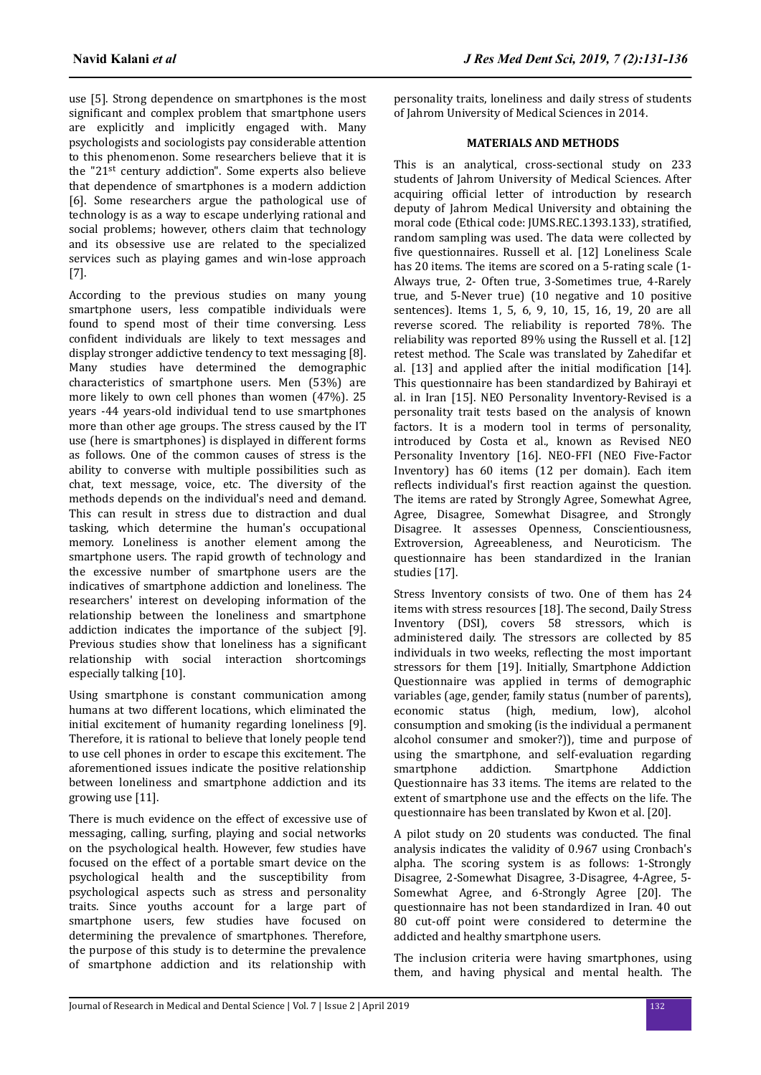use [5]. Strong dependence on smartphones is the most significant and complex problem that smartphone users are explicitly and implicitly engaged with. Many psychologists and sociologists pay considerable attention to this phenomenon. Some researchers believe that it is the "21st century addiction". Some experts also believe that dependence of smartphones is a modern addiction [6]. Some researchers argue the pathological use of technology is as a way to escape underlying rational and social problems; however, others claim that technology and its obsessive use are related to the specialized services such as playing games and win-lose approach [7].

According to the previous studies on many young smartphone users, less compatible individuals were found to spend most of their time conversing. Less confident individuals are likely to text messages and display stronger addictive tendency to text messaging [8]. Many studies have determined the demographic characteristics of smartphone users. Men (53%) are more likely to own cell phones than women (47%). 25 years -44 years-old individual tend to use smartphones more than other age groups. The stress caused by the IT use (here is smartphones) is displayed in different forms as follows. One of the common causes of stress is the ability to converse with multiple possibilities such as chat, text message, voice, etc. The diversity of the methods depends on the individual's need and demand. This can result in stress due to distraction and dual tasking, which determine the human's occupational memory. Loneliness is another element among the smartphone users. The rapid growth of technology and the excessive number of smartphone users are the indicatives of smartphone addiction and loneliness. The researchers' interest on developing information of the relationship between the loneliness and smartphone addiction indicates the importance of the subject [9]. Previous studies show that loneliness has a significant relationship with social interaction shortcomings especially talking [10].

Using smartphone is constant communication among humans at two different locations, which eliminated the initial excitement of humanity regarding loneliness [9]. Therefore, it is rational to believe that lonely people tend to use cell phones in order to escape this excitement. The aforementioned issues indicate the positive relationship between loneliness and smartphone addiction and its growing use [11].

There is much evidence on the effect of excessive use of messaging, calling, surfing, playing and social networks on the psychological health. However, few studies have focused on the effect of a portable smart device on the psychological health and the susceptibility from psychological aspects such as stress and personality traits. Since youths account for a large part of smartphone users, few studies have focused on determining the prevalence of smartphones. Therefore, the purpose of this study is to determine the prevalence of smartphone addiction and its relationship with

personality traits, loneliness and daily stress of students of Jahrom University of Medical Sciences in 2014.

## **MATERIALS AND METHODS**

This is an analytical, cross-sectional study on 233 students of Jahrom University of Medical Sciences. After acquiring official letter of introduction by research deputy of Jahrom Medical University and obtaining the moral code (Ethical code: JUMS.REC.1393.133), stratified. random sampling was used. The data were collected by five questionnaires. Russell et al. [12] Loneliness Scale has 20 items. The items are scored on a 5-rating scale (1- Always true, 2- Often true, 3-Sometimes true, 4-Rarely true, and 5-Never true) (10 negative and 10 positive sentences). Items 1, 5, 6, 9, 10, 15, 16, 19, 20 are all reverse scored. The reliability is reported 78%. The reliability was reported 89% using the Russell et al. [12] retest method. The Scale was translated by Zahedifar et al.  $[13]$  and applied after the initial modification  $[14]$ . This questionnaire has been standardized by Bahirayi et al. in Iran [15]. NEO Personality Inventory-Revised is a personality trait tests based on the analysis of known factors. It is a modern tool in terms of personality, introduced by Costa et al., known as Revised NEO Personality Inventory [16]. NEO-FFI (NEO Five-Factor Inventory) has 60 items (12 per domain). Each item reflects individual's first reaction against the question. The items are rated by Strongly Agree, Somewhat Agree, Agree, Disagree, Somewhat Disagree, and Strongly Disagree. It assesses Openness, Conscientiousness, Extroversion, Agreeableness, and Neuroticism. The questionnaire has been standardized in the Iranian studies [17].

Stress Inventory consists of two. One of them has 24 items with stress resources [18]. The second, Daily Stress Inventory (DSI), covers 58 stressors, which is administered daily. The stressors are collected by 85 individuals in two weeks, reflecting the most important stressors for them [19]. Initially, Smartphone Addiction Questionnaire was applied in terms of demographic variables (age, gender, family status (number of parents), economic status (high, medium, low), alcohol consumption and smoking (is the individual a permanent alcohol consumer and smoker?)), time and purpose of using the smartphone, and self-evaluation regarding smartphone addiction. Smartphone Addiction Questionnaire has 33 items. The items are related to the extent of smartphone use and the effects on the life. The questionnaire has been translated by Kwon et al. [20].

A pilot study on 20 students was conducted. The final analysis indicates the validity of 0.967 using Cronbach's alpha. The scoring system is as follows: 1-Strongly Disagree, 2-Somewhat Disagree, 3-Disagree, 4-Agree, 5- Somewhat Agree, and 6-Strongly Agree [20]. The questionnaire has not been standardized in Iran. 40 out 80 cut-off point were considered to determine the addicted and healthy smartphone users.

The inclusion criteria were having smartphones, using them, and having physical and mental health. The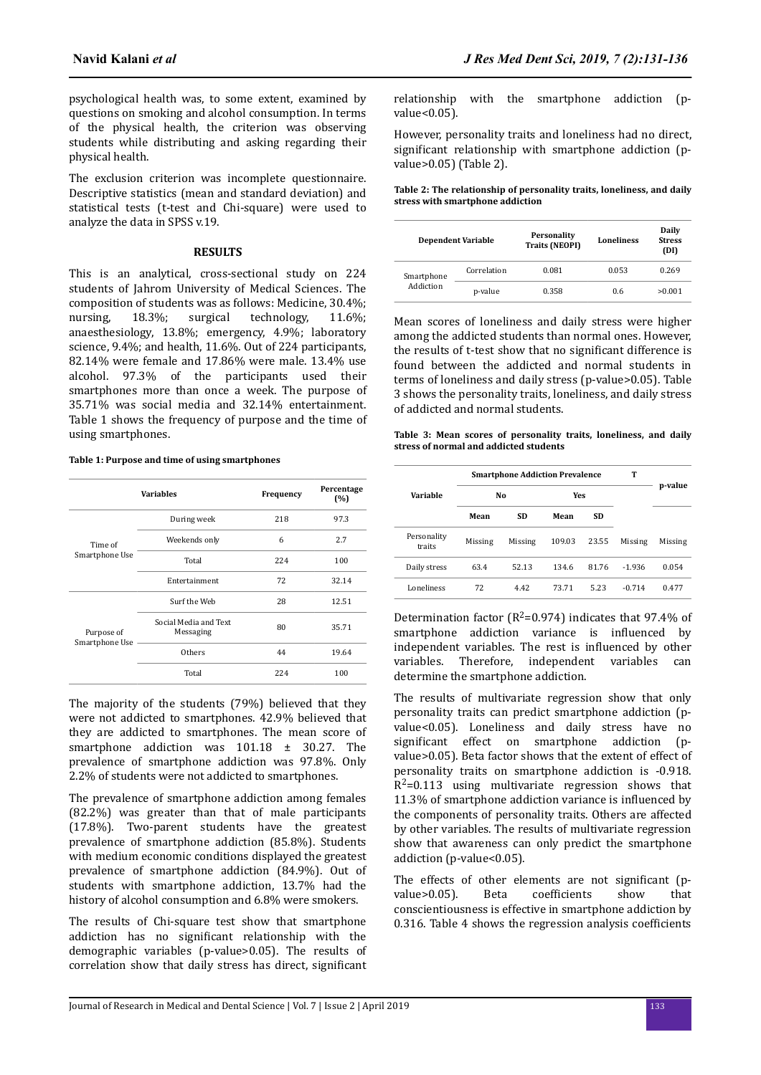psychological health was, to some extent, examined by questions on smoking and alcohol consumption. In terms of the physical health, the criterion was observing students while distributing and asking regarding their physical health.

The exclusion criterion was incomplete questionnaire. Descriptive statistics (mean and standard deviation) and statistical tests (t-test and Chi-square) were used to analyze the data in SPSS v.19.

#### **RESULTS**

This is an analytical, cross-sectional study on 224 students of Jahrom University of Medical Sciences. The composition of students was as follows: Medicine, 30.4%; nursing, 18.3%; surgical technology, 11.6%; anaesthesiology, 13.8%; emergency, 4.9%; laboratory science, 9.4%; and health, 11.6%. Out of 224 participants, 82.14% were female and 17.86% were male. 13.4% use alcohol. 97.3% of the participants used their smartphones more than once a week. The purpose of 35.71% was social media and 32.14% entertainment. Table 1 shows the frequency of purpose and the time of using smartphones.

#### **Table 1: Purpose and time of using smartphones**

|                              | <b>Variables</b>                   | Frequency | Percentage<br>(%) |
|------------------------------|------------------------------------|-----------|-------------------|
|                              | During week                        | 218       | 97.3              |
| Time of<br>Smartphone Use    | Weekends only                      | 6         | 2.7               |
|                              | Total                              | 224       | 100               |
|                              | Entertainment                      | 72        | 32.14             |
| Purpose of<br>Smartphone Use | Surf the Web                       | 28        | 12.51             |
|                              | Social Media and Text<br>Messaging | 80        | 35.71             |
|                              | Others                             | 44        | 19.64             |
|                              | Total                              | 224       | 100               |

The majority of the students (79%) believed that they were not addicted to smartphones. 42.9% believed that they are addicted to smartphones. The mean score of smartphone addiction was 101.18 ± 30.27. The prevalence of smartphone addiction was 97.8%. Only 2.2% of students were not addicted to smartphones.

The prevalence of smartphone addiction among females (82.2%) was greater than that of male participants (17.8%). Two-parent students have the greatest prevalence of smartphone addiction (85.8%). Students with medium economic conditions displayed the greatest prevalence of smartphone addiction (84.9%). Out of students with smartphone addiction, 13.7% had the history of alcohol consumption and 6.8% were smokers.

The results of Chi-square test show that smartphone addiction has no significant relationship with the demographic variables (p-value>0.05). The results of correlation show that daily stress has direct, significant

relationship with the smartphone addiction (pvalue<0.05).

However, personality traits and loneliness had no direct, significant relationship with smartphone addiction (pvalue>0.05) (Table 2).

**Table 2: The relationship of personality traits, loneliness, and daily stress with smartphone addiction**

|                         | <b>Dependent Variable</b> | Personality<br><b>Traits (NEOPI)</b> | <b>Loneliness</b> | Daily<br><b>Stress</b><br>(DI) |
|-------------------------|---------------------------|--------------------------------------|-------------------|--------------------------------|
| Smartphone<br>Addiction | Correlation               | 0.081                                | 0.053             | 0.269                          |
|                         | p-value                   | 0.358                                | 0.6               | >0.001                         |

Mean scores of loneliness and daily stress were higher among the addicted students than normal ones. However, the results of t-test show that no significant difference is found between the addicted and normal students in terms of loneliness and daily stress (p-value>0.05). Table 3 shows the personality traits, loneliness, and daily stress of addicted and normal students.

**Table 3: Mean scores of personality traits, loneliness, and daily stress of normal and addicted students**

|                       | <b>Smartphone Addiction Prevalence</b> |           |        |       |          |         |  |
|-----------------------|----------------------------------------|-----------|--------|-------|----------|---------|--|
| Variable              | No                                     |           | Yes    |       |          | p-value |  |
|                       | Mean                                   | <b>SD</b> | Mean   | SD    |          |         |  |
| Personality<br>traits | Missing                                | Missing   | 109.03 | 23.55 | Missing  | Missing |  |
| Daily stress          | 63.4                                   | 52.13     | 134.6  | 81.76 | $-1.936$ | 0.054   |  |
| Loneliness            | 72                                     | 442       | 7371   | 5.23  | $-0.714$ | 0477    |  |

Determination factor ( $R^2$ =0.974) indicates that 97.4% of smartphone addiction variance is influenced by independent variables. The rest is influenced by other variables. Therefore, independent variables can determine the smartphone addiction.

The results of multivariate regression show that only personality traits can predict smartphone addiction (pvalue<0.05). Loneliness and daily stress have no significant effect on smartphone addiction (pvalue>0.05). Beta factor shows that the extent of effect of personality traits on smartphone addiction is -0.918. R<sup>2</sup>=0.113 using multivariate regression shows that 11.3% of smartphone addiction variance is influenced by the components of personality traits. Others are affected by other variables. The results of multivariate regression show that awareness can only predict the smartphone addiction (p-value<0.05).

The effects of other elements are not significant (pvalue>0.05). Beta coefficients show that conscientiousness is effective in smartphone addiction by 0.316. Table 4 shows the regression analysis coefficients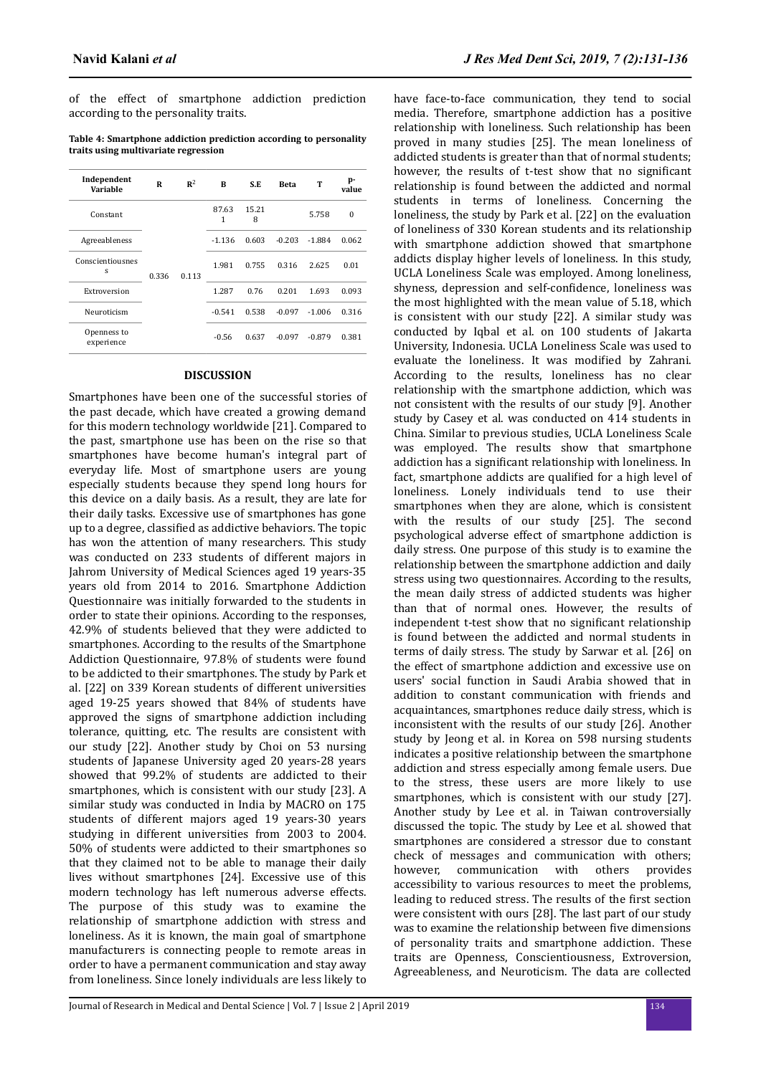of the effect of smartphone addiction prediction according to the personality traits.

**Table 4: Smartphone addiction prediction according to personality traits using multivariate regression**

| Independent<br>Variable   | R     | $\mathbb{R}^2$ | B          | S.E        | <b>Beta</b> | т        | p-<br>value |
|---------------------------|-------|----------------|------------|------------|-------------|----------|-------------|
| Constant                  | 0.336 | 0.113          | 87.63<br>1 | 15.21<br>8 |             | 5.758    | $\Omega$    |
| Agreeableness             |       |                | $-1.136$   | 0.603      | $-0.203$    | $-1.884$ | 0.062       |
| Conscientiousnes<br>S     |       |                | 1.981      | 0.755      | 0.316       | 2.625    | 0.01        |
| Extroversion              |       |                | 1.287      | 0.76       | 0.201       | 1.693    | 0.093       |
| Neuroticism               |       |                | $-0.541$   | 0.538      | $-0.097$    | $-1.006$ | 0.316       |
| Openness to<br>experience |       |                | $-0.56$    | 0.637      | $-0.097$    | $-0.879$ | 0.381       |

#### **DISCUSSION**

Smartphones have been one of the successful stories of the past decade, which have created a growing demand for this modern technology worldwide [21]. Compared to the past, smartphone use has been on the rise so that smartphones have become human's integral part of everyday life. Most of smartphone users are young especially students because they spend long hours for this device on a daily basis. As a result, they are late for their daily tasks. Excessive use of smartphones has gone up to a degree, classified as addictive behaviors. The topic has won the attention of many researchers. This study was conducted on 233 students of different majors in Jahrom University of Medical Sciences aged 19 years-35 years old from 2014 to 2016. Smartphone Addiction Questionnaire was initially forwarded to the students in order to state their opinions. According to the responses, 42.9% of students believed that they were addicted to smartphones. According to the results of the Smartphone Addiction Questionnaire, 97.8% of students were found to be addicted to their smartphones. The study by Park et al. [22] on 339 Korean students of different universities aged 19-25 years showed that 84% of students have approved the signs of smartphone addiction including tolerance, quitting, etc. The results are consistent with our study [22]. Another study by Choi on 53 nursing students of Japanese University aged 20 years-28 years showed that 99.2% of students are addicted to their smartphones, which is consistent with our study [23]. A similar study was conducted in India by MACRO on 175 students of different majors aged 19 years-30 years studying in different universities from 2003 to 2004. 50% of students were addicted to their smartphones so that they claimed not to be able to manage their daily lives without smartphones [24]. Excessive use of this modern technology has left numerous adverse effects. The purpose of this study was to examine the relationship of smartphone addiction with stress and loneliness. As it is known, the main goal of smartphone manufacturers is connecting people to remote areas in order to have a permanent communication and stay away from loneliness. Since lonely individuals are less likely to have face-to-face communication, they tend to social media. Therefore, smartphone addiction has a positive relationship with loneliness. Such relationship has been proved in many studies [25]. The mean loneliness of addicted students is greater than that of normal students; however, the results of t-test show that no significant relationship is found between the addicted and normal students in terms of loneliness. Concerning the loneliness, the study by Park et al. [22] on the evaluation of loneliness of 330 Korean students and its relationship with smartphone addiction showed that smartphone addicts display higher levels of loneliness. In this study, UCLA Loneliness Scale was employed. Among loneliness, shyness, depression and self-confidence, loneliness was the most highlighted with the mean value of 5.18, which is consistent with our study [22]. A similar study was conducted by Iqbal et al. on 100 students of Jakarta University, Indonesia. UCLA Loneliness Scale was used to evaluate the loneliness. It was modified by Zahrani. According to the results, loneliness has no clear relationship with the smartphone addiction, which was not consistent with the results of our study [9]. Another study by Casey et al. was conducted on 414 students in China. Similar to previous studies, UCLA Loneliness Scale was employed. The results show that smartphone addiction has a significant relationship with loneliness. In fact, smartphone addicts are qualified for a high level of loneliness. Lonely individuals tend to use their smartphones when they are alone, which is consistent with the results of our study [25]. The second psychological adverse effect of smartphone addiction is daily stress. One purpose of this study is to examine the relationship between the smartphone addiction and daily stress using two questionnaires. According to the results, the mean daily stress of addicted students was higher than that of normal ones. However, the results of independent t-test show that no significant relationship is found between the addicted and normal students in terms of daily stress. The study by Sarwar et al. [26] on the effect of smartphone addiction and excessive use on users' social function in Saudi Arabia showed that in addition to constant communication with friends and acquaintances, smartphones reduce daily stress, which is inconsistent with the results of our study [26]. Another study by Jeong et al. in Korea on 598 nursing students indicates a positive relationship between the smartphone addiction and stress especially among female users. Due to the stress, these users are more likely to use smartphones, which is consistent with our study [27]. Another study by Lee et al. in Taiwan controversially discussed the topic. The study by Lee et al. showed that smartphones are considered a stressor due to constant check of messages and communication with others; however, communication with others provides accessibility to various resources to meet the problems, leading to reduced stress. The results of the first section were consistent with ours [28]. The last part of our study was to examine the relationship between five dimensions of personality traits and smartphone addiction. These traits are Openness, Conscientiousness, Extroversion, Agreeableness, and Neuroticism. The data are collected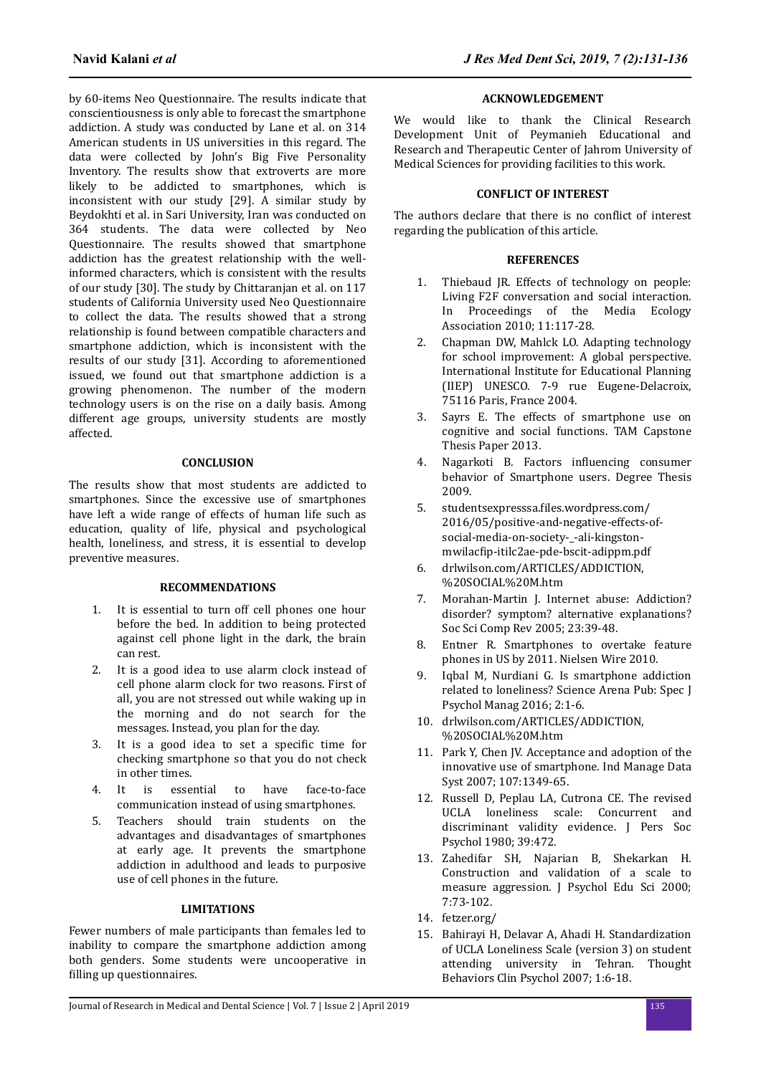by 60-items Neo Questionnaire. The results indicate that conscientiousness is only able to forecast the smartphone addiction. A study was conducted by Lane et al. on 314 American students in US universities in this regard. The data were collected by John's Big Five Personality Inventory. The results show that extroverts are more likely to be addicted to smartphones, which is inconsistent with our study [29]. A similar study by Beydokhti et al. in Sari University, Iran was conducted on 364 students. The data were collected by Neo Questionnaire. The results showed that smartphone addiction has the greatest relationship with the wellinformed characters, which is consistent with the results of our study [30]. The study by Chittaranjan et al. on 117 students of California University used Neo Questionnaire to collect the data. The results showed that a strong relationship is found between compatible characters and smartphone addiction, which is inconsistent with the results of our study [31]. According to aforementioned issued, we found out that smartphone addiction is a growing phenomenon. The number of the modern technology users is on the rise on a daily basis. Among different age groups, university students are mostly affected.

## **CONCLUSION**

The results show that most students are addicted to smartphones. Since the excessive use of smartphones have left a wide range of effects of human life such as education, quality of life, physical and psychological health, loneliness, and stress, it is essential to develop preventive measures.

## **RECOMMENDATIONS**

- 1. It is essential to turn off cell phones one hour before the bed. In addition to being protected against cell phone light in the dark, the brain can rest.
- 2. It is a good idea to use alarm clock instead of cell phone alarm clock for two reasons. First of all, you are not stressed out while waking up in the morning and do not search for the messages. Instead, you plan for the day.
- 3. It is a good idea to set a specific time for checking smartphone so that you do not check in other times.
- 4. It is essential to have face-to-face communication instead of using smartphones.
- 5. Teachers should train students on the advantages and disadvantages of smartphones at early age. It prevents the smartphone addiction in adulthood and leads to purposive use of cell phones in the future.

## **LIMITATIONS**

Fewer numbers of male participants than females led to inability to compare the smartphone addiction among both genders. Some students were uncooperative in filling up questionnaires.

## **ACKNOWLEDGEMENT**

We would like to thank the Clinical Research Development Unit of Peymanieh Educational and Research and Therapeutic Center of Jahrom University of Medical Sciences for providing facilities to this work.

## **CONFLICT OF INTEREST**

The authors declare that there is no conflict of interest regarding the publication of this article.

## **REFERENCES**

- 1. Thiebaud JR. Effects of technology on people: Living F2F conversation and social interaction. In Proceedings of the Media Ecology Association 2010; 11:117-28.
- 2. Chapman DW, Mahlck LO. Adapting technology for school improvement: A global perspective. International Institute for Educational Planning (IIEP) UNESCO. 7-9 rue Eugene-Delacroix, 75116 Paris, France 2004.
- 3. Sayrs E. The effects of smartphone use on cognitive and social functions. TAM Capstone Thesis Paper 2013.
- 4. Nagarkoti B. Factors influencing consumer behavior of Smartphone users. Degree Thesis 2009.
- 5. studentsexpresssa.files.wordpress.com/ 2016/05/positive-and-negative-effects-ofsocial-media-on-society-\_-ali-kingstonmwilacfip-itilc2ae-pde-bscit-adippm.pdf
- 6. drlwilson.com/ARTICLES/ADDICTION, %20SOCIAL%20M.htm
- 7. Morahan-Martin J. Internet abuse: Addiction? disorder? symptom? alternative explanations? Soc Sci Comp Rev 2005; 23:39-48.
- 8. Entner R. Smartphones to overtake feature phones in US by 2011. Nielsen Wire 2010.
- 9. Iqbal M, Nurdiani G. Is smartphone addiction related to loneliness? Science Arena Pub: Spec J Psychol Manag 2016; 2:1-6.
- 10. drlwilson.com/ARTICLES/ADDICTION, %20SOCIAL%20M.htm
- 11. Park Y, Chen JV. Acceptance and adoption of the innovative use of smartphone. Ind Manage Data Syst 2007; 107:1349-65.
- 12. Russell D, Peplau LA, Cutrona CE. The revised UCLA loneliness scale: Concurrent and discriminant validity evidence. J Pers Soc Psychol 1980; 39:472.
- 13. Zahedifar SH, Najarian B, Shekarkan H. Construction and validation of a scale to measure aggression. J Psychol Edu Sci 2000; 7:73-102.
- 14. fetzer.org/
- 15. Bahirayi H, Delavar A, Ahadi H. Standardization of UCLA Loneliness Scale (version 3) on student attending university in Tehran. Thought Behaviors Clin Psychol 2007; 1:6-18.